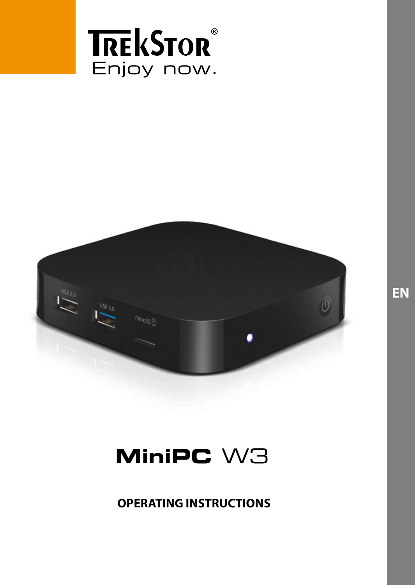



# **MiniPC** W3

**OPERATING INSTRUCTIONS**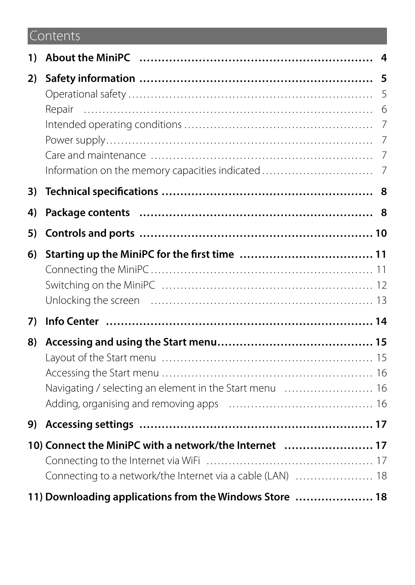# Contents

| 1) |                                                            |   |
|----|------------------------------------------------------------|---|
| 2) |                                                            | 5 |
|    |                                                            |   |
|    |                                                            |   |
|    |                                                            |   |
|    |                                                            |   |
| 3) |                                                            |   |
| 4) |                                                            |   |
| 5) |                                                            |   |
| 6) |                                                            |   |
|    |                                                            |   |
|    |                                                            |   |
|    |                                                            |   |
| 7) |                                                            |   |
| 8) |                                                            |   |
|    |                                                            |   |
|    |                                                            |   |
|    | Navigating / selecting an element in the Start menu  16    |   |
|    |                                                            |   |
| 9) |                                                            |   |
|    | 10) Connect the MiniPC with a network/the Internet  17     |   |
|    |                                                            |   |
|    | Connecting to a network/the Internet via a cable (LAN)  18 |   |
|    | 11) Downloading applications from the Windows Store  18    |   |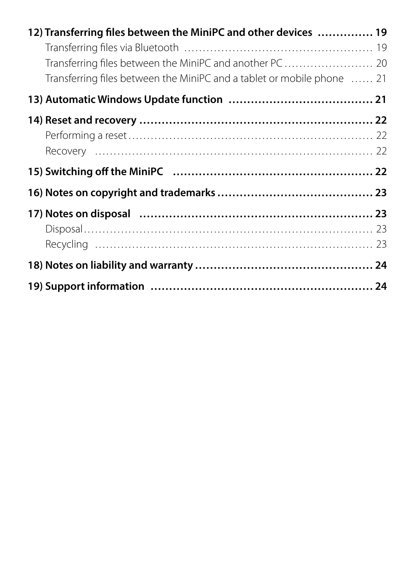| 12) Transferring files between the MiniPC and other devices  19                                                                   |  |
|-----------------------------------------------------------------------------------------------------------------------------------|--|
|                                                                                                                                   |  |
| Transferring files between the MiniPC and another PC 20<br>Transferring files between the MiniPC and a tablet or mobile phone  21 |  |
|                                                                                                                                   |  |
|                                                                                                                                   |  |
|                                                                                                                                   |  |
|                                                                                                                                   |  |
|                                                                                                                                   |  |
|                                                                                                                                   |  |
|                                                                                                                                   |  |
|                                                                                                                                   |  |
|                                                                                                                                   |  |
|                                                                                                                                   |  |
|                                                                                                                                   |  |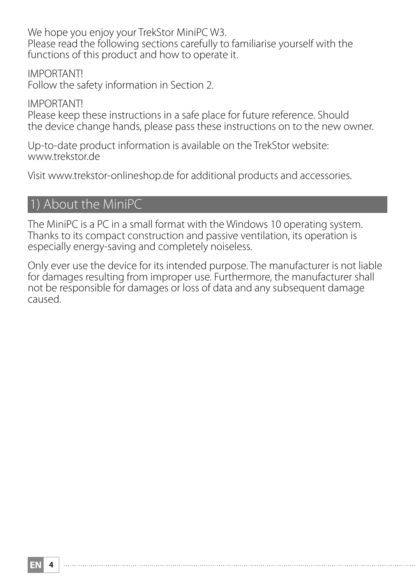We hope you enjoy your TrekStor MiniPC W3. Please read the following sections carefully to familiarise yourself with the functions of this product and how to operate it.

IMPORTANT! Follow the safety information in Section 2.

IMPORTANT! Please keep these instructions in a safe place for future reference. Should the device change hands, please pass these instructions on to the new owner.

Up-to-date product information is available on the TrekStor website: www.trekstor.de

Visit www.trekstor-onlineshop.de for additional products and accessories.

# 1) About the MiniPC

The MiniPC is a PC in a small format with the Windows 10 operating system. Thanks to its compact construction and passive ventilation, its operation is especially energy-saving and completely noiseless.

Only ever use the device for its intended purpose. The manufacturer is not liable for damages resulting from improper use. Furthermore, the manufacturer shall not be responsible for damages or loss of data and any subsequent damage caused.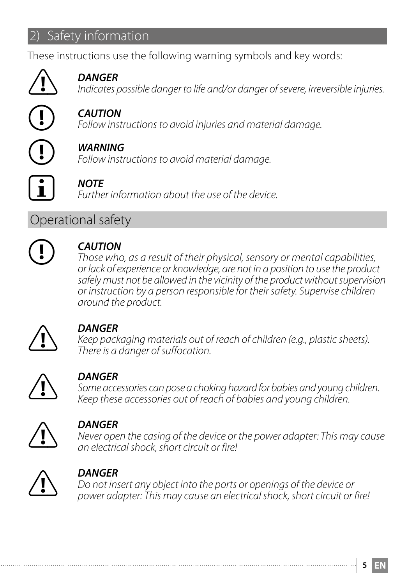# **Safety information**

These instructions use the following warning symbols and key words:



**COMPAIGER**<br> *Indicates possible danger to life and/or danger of severe, irreversible injuries.* 



r *CAUTION Follow instructions to avoid injuries and material damage.*

r *WARNING Follow instructions to avoid material damage.*



#### i *NOTE*

*Further information about the use of the device.*

# Operational safety



**CAUTION**<br>Those who, as a result of their physical, sensory or mental capabilities, *or lack of experience or knowledge, are not in a position to use the product safely must not be allowed in the vicinity of the product without supervision or instruction by a person responsible for their safety. Supervise children around the product.*



**CANGER**<br> *Keep packaging materials out of reach of children (e.g., plastic sheets).*<br>
There is a danger of suffecation *There is a danger of suffocation.*



**COANGER**<br>Some accessories can pose a choking hazard for babies and young children.<br>Some these accessories out of reach of babies and young children. *Keep these accessories out of reach of babies and young children.*



**COMPORER**<br>*Never open the casing of the device or the power adapter: This may cause*  $\sum_{n=1}^{\infty}$  an electrical shock short circuit or firel *an electrical shock, short circuit or fire!*



**CONGER**<br>
Do not insert any object into the ports or openings of the device or<br>  $\sum_{n=0}^{\infty}$  *Dower edgater: This may cause an electrical shock, short circuit or x power adapter: This may cause an electrical shock, short circuit or fire!*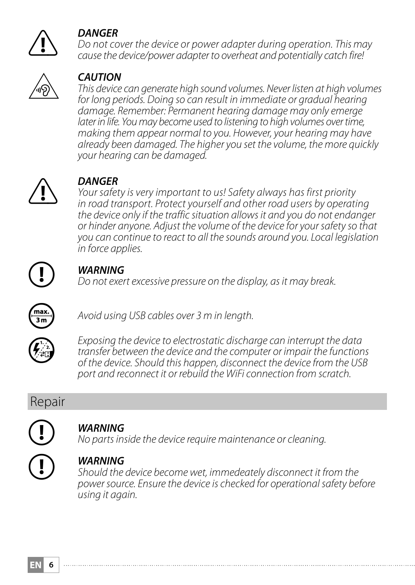

**COANGER**<br> *Do not cover the device or power adapter during operation. This may<br>
cause the device/power adapter to overheat and potentially catch firel cause the device/power adapter to overheat and potentially catch fire!*



u *CAUTION This device can generate high sound volumes. Never listen at high volumes for long periods. Doing so can result in immediate or gradual hearing damage. Remember: Permanent hearing damage may only emerge later in life. You may become used to listening to high volumes over time, making them appear normal to you. However, your hearing may have already been damaged. The higher you set the volume, the more quickly your hearing can be damaged.*



*DANGER*<br>*Your safety is very important to us! Safety always has first priority*<br>*in road transport. Protect yourself and other road users by operational in road transport. Protect yourself and other road users by operating the device only if the traffic situation allows it and you do not endanger or hinder anyone. Adjust the volume of the device for your safety so that you can continue to react to all the sounds around you. Local legislation in force applies.*



*D <i>WARNING Do not exert excessive pressure on the display, as it may break.* 



Avoid using USB cables over 3 m in length.



*Exposing the device to electrostatic discharge can interrupt the data transfer between the device and the computer or impair the functions of the device. Should this happen, disconnect the device from the USB port and reconnect it or rebuild the WiFi connection from scratch.*

# Repair



*CD WARNING*<br>*No parts inside the device require maintenance or cleaning.* 

*WARNING* Should the device become wet, immedeately disconnect it from the *power source. Ensure the device is checked for operational safety before using it again.*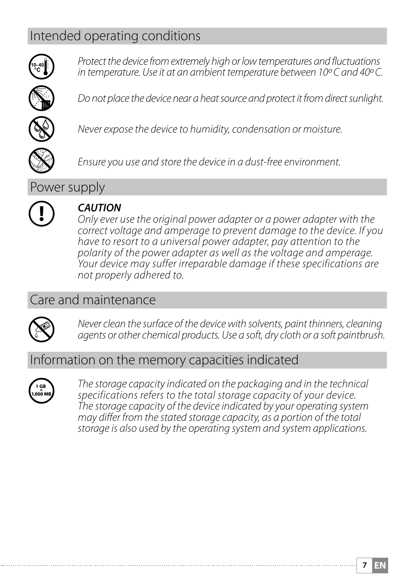# Intended operating conditions



j *Protect the device from extremely high or low temperatures and fluctuations in temperature. Use it at an ambient temperature between 10º C and 40º C.*



Do not place the device near a heat source and protect it from direct sunlight.



e *Never expose the device to humidity, condensation or moisture.*



h *Ensure you use and store the device in a dust-free environment.*

Power supply



*CAUTION* CAUTION *Only ever use the original power adapter or a power adapter with the correct voltage and amperage to prevent damage to the device. If you have to resort to a universal power adapter, pay attention to the polarity of the power adapter as well as the voltage and amperage. Your device may suffer irreparable damage if these specifications are not properly adhered to.*

# Care and maintenance



g *Never clean the surface of the device with solvents, paint thinners, cleaning agents or other chemical products. Use a soft, dry cloth or a soft paintbrush.*

### Information on the memory capacities indicated



q *The storage capacity indicated on the packaging and in the technical specifications refers to the total storage capacity of your device. The storage capacity of the device indicated by your operating system may differ from the stated storage capacity, as a portion of the total storage is also used by the operating system and system applications.*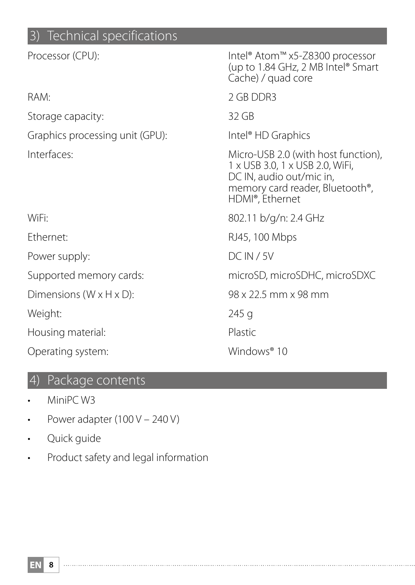# 3) Technical specifications

| Processor (CPU):                      | Intel® Atom™ x5-Z8300 processor<br>(up to 1.84 GHz, 2 MB Intel® Smart<br>Cache) / guad core                                                                           |
|---------------------------------------|-----------------------------------------------------------------------------------------------------------------------------------------------------------------------|
| RAM:                                  | 2 GB DDR3                                                                                                                                                             |
| Storage capacity:                     | 32 GB                                                                                                                                                                 |
| Graphics processing unit (GPU):       | Intel <sup>®</sup> HD Graphics                                                                                                                                        |
| Interfaces:                           | Micro-USB 2.0 (with host function),<br>1 x USB 3.0, 1 x USB 2.0, WiFi,<br>DC IN, audio out/mic in,<br>memory card reader, Bluetooth <sup>®</sup> ,<br>HDMI®, Ethernet |
| WiFi:                                 | 802.11 b/g/n: 2.4 GHz                                                                                                                                                 |
| Ethernet:                             | RJ45, 100 Mbps                                                                                                                                                        |
| Power supply:                         | DCIN / 5V                                                                                                                                                             |
| Supported memory cards:               | microSD, microSDHC, microSDXC                                                                                                                                         |
| Dimensions ( $W \times H \times D$ ): | 98 x 22.5 mm x 98 mm                                                                                                                                                  |
| Weight:                               | 245 g                                                                                                                                                                 |
| Housing material:                     | Plastic                                                                                                                                                               |
| Operating system:                     | Windows <sup>®</sup> 10                                                                                                                                               |

# 4) Package contents

- MiniPC W3
- Power adapter  $(100 V 240 V)$
- Quick guide
- Product safety and legal information

**EN 8**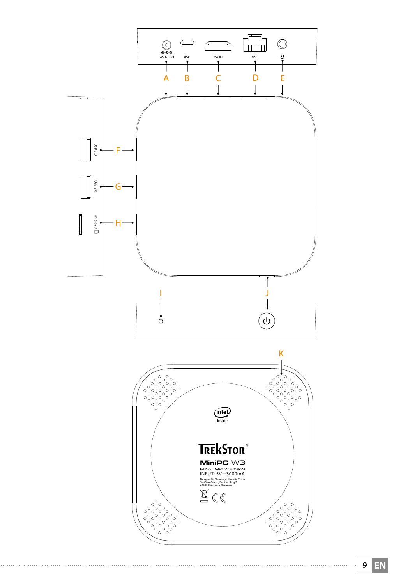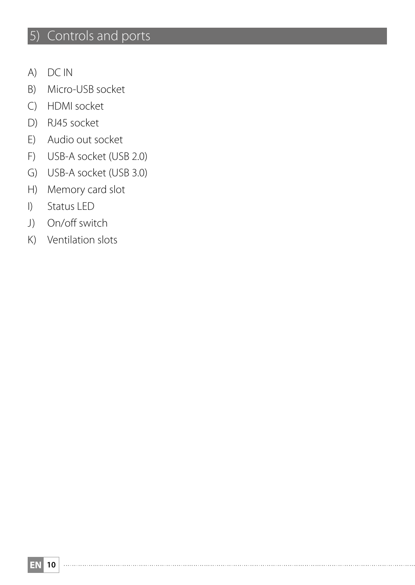# 5) Controls and ports

- A) DC IN
- B) Micro-USB socket
- C) HDMI socket
- D) RJ45 socket
- E) Audio out socket
- F) USB-A socket (USB 2.0)
- G) USB-A socket (USB 3.0)
- H) Memory card slot
- I) Status LED
- J) On/off switch
- K) Ventilation slots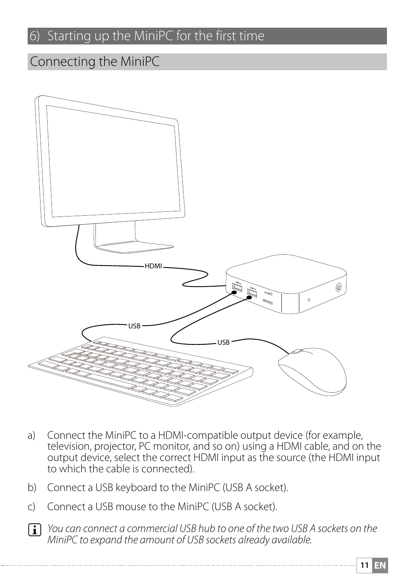# 6) Starting up the MiniPC for the first time

# Connecting the MiniPC



- a) Connect the MiniPC to a HDMI-compatible output device (for example, television, projector, PC monitor, and so on) using a HDMI cable, and on the output device, select the correct HDMI input as the source (the HDMI input to which the cable is connected).
- b) Connect a USB keyboard to the MiniPC (USB A socket).
- c) Connect a USB mouse to the MiniPC (USB A socket).
- **i** *You can connect a commercial USB hub to one of the two USB A sockets on the MiniPC to expand the amount of USB sockets already available.*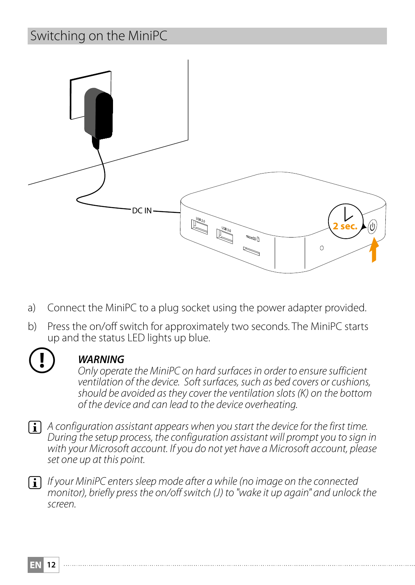# Switching on the MiniPC



- a) Connect the MiniPC to a plug socket using the power adapter provided.
- b) Press the on/off switch for approximately two seconds. The MiniPC starts up and the status LED lights up blue.



*CD WARNING Only operate the MiniPC on hard surfaces in order to ensure sufficient ventilation of the device. Soft surfaces, such as bed covers or cushions, should be avoided as they cover the ventilation slots (K) on the bottom of the device and can lead to the device overheating.* 

i *A configuration assistant appears when you start the device for the first time. During the setup process, the configuration assistant will prompt you to sign in with your Microsoft account. If you do not yet have a Microsoft account, please set one up at this point.*

i *If your MiniPC enters sleep mode after a while (no image on the connected monitor), briefly press the on/off switch (J) to "wake it up again" and unlock the screen.*

**EN 12**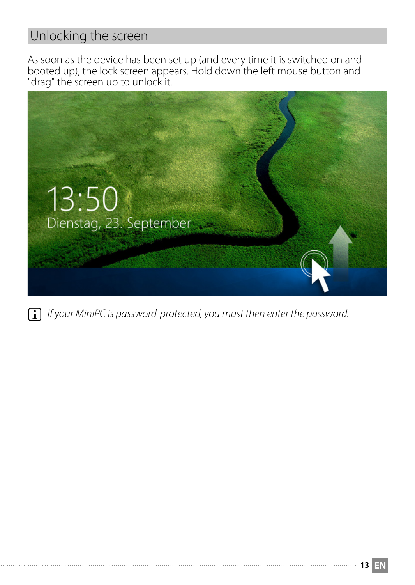# Unlocking the screen

As soon as the device has been set up (and every time it is switched on and booted up), the lock screen appears. Hold down the left mouse button and "drag" the screen up to unlock it.



**i** *If your MiniPC is password-protected, you must then enter the password.*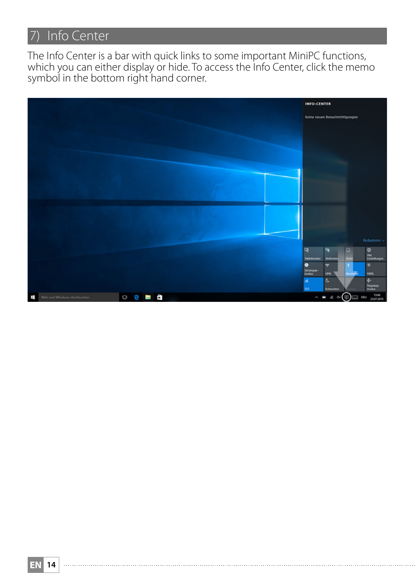# 7) Info Center

The Info Center is a bar with quick links to some important MiniPC functions, which you can either display or hide. To access the Info Center, click the memo symbol in the bottom right hand corner.

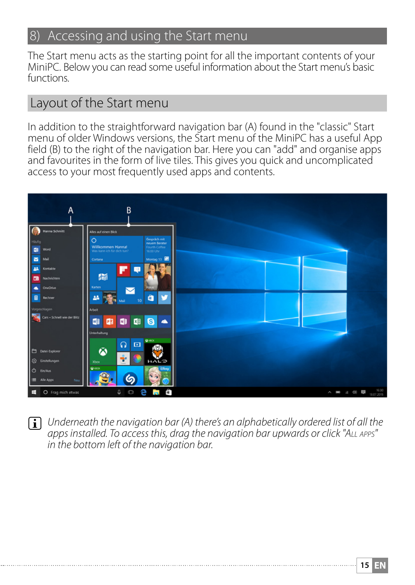### 8) Accessing and using the Start menu

The Start menu acts as the starting point for all the important contents of your MiniPC. Below you can read some useful information about the Start menu's basic functions.

### Layout of the Start menu

In addition to the straightforward navigation bar (A) found in the "classic" Start menu of older Windows versions, the Start menu of the MiniPC has a useful App field (B) to the right of the navigation bar. Here you can "add" and organise apps and favourites in the form of live tiles. This gives you quick and uncomplicated access to your most frequently used apps and contents.



**i** Underneath the navigation bar (A) there's an alphabetically ordered list of all the *apps installed. To access this, drag the navigation bar upwards or click "All apps" in the bottom left of the navigation bar.*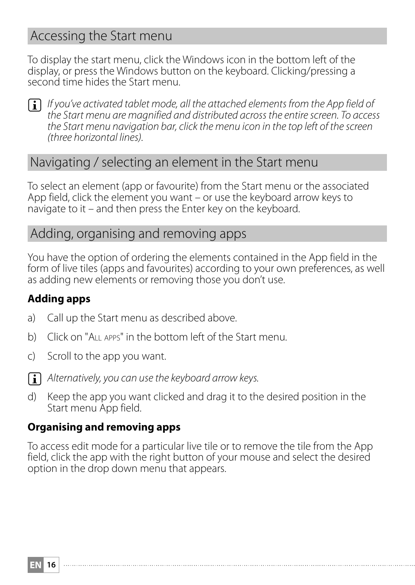### Accessing the Start menu

To display the start menu, click the Windows icon in the bottom left of the display, or press the Windows button on the keyboard. Clicking/pressing a second time hides the Start menu.



**i** *If you've activated tablet mode, all the attached elements from the App field of the Start menu are magnified and distributed across the entire screen. To access the Start menu navigation bar, click the menu icon in the top left of the screen (three horizontal lines).* 

### Navigating / selecting an element in the Start menu

To select an element (app or favourite) from the Start menu or the associated App field, click the element you want – or use the keyboard arrow keys to navigate to it – and then press the Enter key on the keyboard.

### Adding, organising and removing apps

You have the option of ordering the elements contained in the App field in the form of live tiles (apps and favourites) according to your own preferences, as well as adding new elements or removing those you don't use.

#### **Adding apps**

- a) Call up the Start menu as described above.
- b) Click on "All apps" in the bottom left of the Start menu.
- c) Scroll to the app you want.



**EN 16**

**i** Alternatively, you can use the keyboard arrow keys.

d) Keep the app you want clicked and drag it to the desired position in the Start menu App field.

#### **Organising and removing apps**

To access edit mode for a particular live tile or to remove the tile from the App field, click the app with the right button of your mouse and select the desired option in the drop down menu that appears.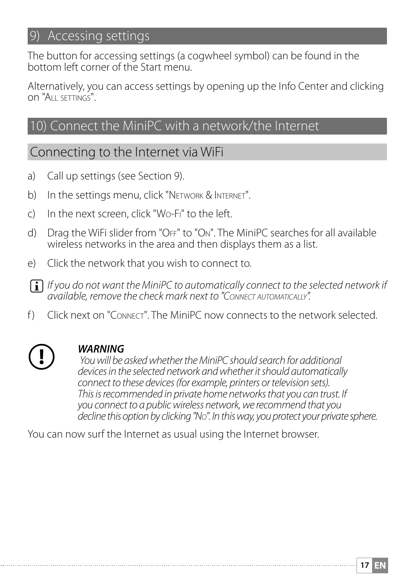# 9) Accessing settings

The button for accessing settings (a cogwheel symbol) can be found in the bottom left corner of the Start menu.

Alternatively, you can access settings by opening up the Info Center and clicking on "All settings".

### 10) Connect the MiniPC with a network/the Internet

# Connecting to the Internet via WiFi

- a) Call up settings (see Section 9).
- b) In the settings menu, click "NETWORK & INTERNET".
- c) In the next screen, click "Wo-Fi" to the left.
- d) Drag the WiFi slider from "OFF" to "ON". The MiniPC searches for all available wireless networks in the area and then displays them as a list.
- e) Click the network that you wish to connect to.
- **i** *If you do not want the MiniPC to automatically connect to the selected network if available, remove the check mark next to "Connect automatically".*
- f ) Click next on "Connect". The MiniPC now connects to the network selected.



#### r *WARNING*

 *You will be asked whether the MiniPC should search for additional devices in the selected network and whether it should automatically connect to these devices (for example, printers or television sets). This is recommended in private home networks that you can trust. If you connect to a public wireless network, we recommend that you decline this option by clicking "No". In this way, you protect your private sphere.*

You can now surf the Internet as usual using the Internet browser.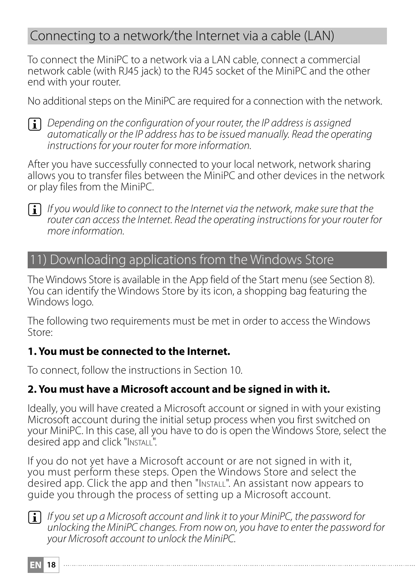# Connecting to a network/the Internet via a cable (LAN)

To connect the MiniPC to a network via a LAN cable, connect a commercial network cable (with RJ45 jack) to the RJ45 socket of the MiniPC and the other end with your router.

No additional steps on the MiniPC are required for a connection with the network.



**i** *Depending on the configuration of your router, the IP address is assigned automatically or the IP address has to be issued manually. Read the operating instructions for your router for more information.*

After you have successfully connected to your local network, network sharing allows you to transfer files between the MiniPC and other devices in the network or play files from the MiniPC.



**i** *If you would like to connect to the Internet via the network, make sure that the router can access the Internet. Read the operating instructions for your router for more information.*

### 11) Downloading applications from the Windows Store

The Windows Store is available in the App field of the Start menu (see Section 8). You can identify the Windows Store by its icon, a shopping bag featuring the Windows logo.

The following two requirements must be met in order to access the Windows Store:

#### **1. You must be connected to the Internet.**

To connect, follow the instructions in Section 10.

#### **2. You must have a Microsoft account and be signed in with it.**

Ideally, you will have created a Microsoft account or signed in with your existing Microsoft account during the initial setup process when you first switched on your MiniPC. In this case, all you have to do is open the Windows Store, select the desired app and click "Install".

If you do not yet have a Microsoft account or are not signed in with it, you must perform these steps. Open the Windows Store and select the desired app. Click the app and then "Install". An assistant now appears to guide you through the process of setting up a Microsoft account.

**i** *If you set up a Microsoft account and link it to your MiniPC, the password for unlocking the MiniPC changes. From now on, you have to enter the password for your Microsoft account to unlock the MiniPC.*

**EN 18**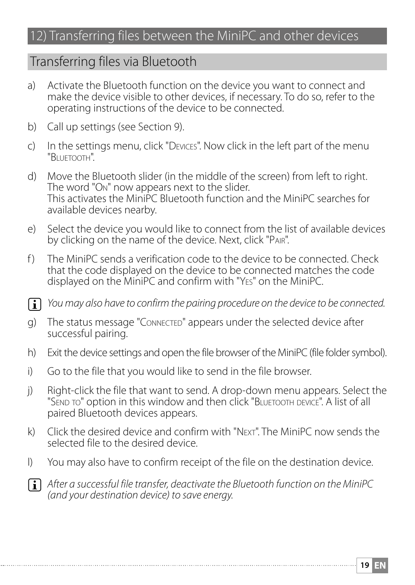# 12) Transferring files between the MiniPC and other devices

### Transferring files via Bluetooth

- a) Activate the Bluetooth function on the device you want to connect and make the device visible to other devices, if necessary. To do so, refer to the operating instructions of the device to be connected.
- b) Call up settings (see Section 9).
- c) In the settings menu, click "Devices". Now click in the left part of the menu "Bluetooth".
- d) Move the Bluetooth slider (in the middle of the screen) from left to right. The word "On" now appears next to the slider. This activates the MiniPC Bluetooth function and the MiniPC searches for available devices nearby.
- e) Select the device you would like to connect from the list of available devices by clicking on the name of the device. Next, click "Pair".
- f ) The MiniPC sends a verification code to the device to be connected. Check that the code displayed on the device to be connected matches the code displayed on the MiniPC and confirm with "Yes" on the MiniPC.
- i *You may also have to confirm the pairing procedure on the device to be connected.*
- g) The status message "Connected" appears under the selected device after successful pairing.
- h) Exit the device settings and open the file browser of the MiniPC (file folder symbol).
- i) Go to the file that you would like to send in the file browser.
- j) Right-click the file that want to send. A drop-down menu appears. Select the "Send to" option in this window and then click "BLUETOOTH DEVICE". A list of all paired Bluetooth devices appears.
- k) Click the desired device and confirm with "Next". The MiniPC now sends the selected file to the desired device.
- l) You may also have to confirm receipt of the file on the destination device.

**i** *After a successful file transfer, deactivate the Bluetooth function on the MiniPC (and your destination device) to save energy.*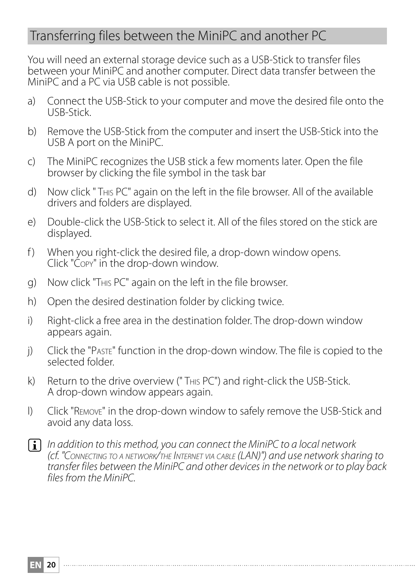# Transferring files between the MiniPC and another PC

You will need an external storage device such as a USB-Stick to transfer files between your MiniPC and another computer. Direct data transfer between the MiniPC and a PC via USB cable is not possible.

- a) Connect the USB-Stick to your computer and move the desired file onto the USB-Stick.
- b) Remove the USB-Stick from the computer and insert the USB-Stick into the USB A port on the MiniPC.
- c) The MiniPC recognizes the USB stick a few moments later. Open the file browser by clicking the file symbol in the task bar
- d) Now click " This PC" again on the left in the file browser. All of the available drivers and folders are displayed.
- e) Double-click the USB-Stick to select it. All of the files stored on the stick are displayed.
- f) When you right-click the desired file, a drop-down window opens. Click "Copy" in the drop-down window.
- g) Now click "This PC" again on the left in the file browser.
- h) Open the desired destination folder by clicking twice.
- i) Right-click a free area in the destination folder. The drop-down window appears again.
- j) Click the "Paste" function in the drop-down window. The file is copied to the selected folder.
- k) Return to the drive overview (" This PC") and right-click the USB-Stick. A drop-down window appears again.
- l) Click "Remove" in the drop-down window to safely remove the USB-Stick and avoid any data loss.
- **i** *In addition to this method, you can connect the MiniPC to a local network (cf. "Connecting to <sup>a</sup> network/the Internet via cable (LAN)") and use network sharing to transfer files between the MiniPC and other devices in the network or to play back files from the MiniPC.*

**EN 20**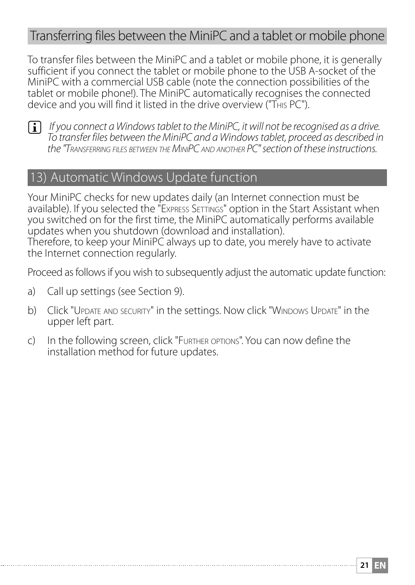### Transferring files between the MiniPC and a tablet or mobile phone

To transfer files between the MiniPC and a tablet or mobile phone, it is generally sufficient if you connect the tablet or mobile phone to the USB A-socket of the MiniPC with a commercial USB cable (note the connection possibilities of the tablet or mobile phone!). The MiniPC automatically recognises the connected device and you will find it listed in the drive overview ("This PC").



**i** If you connect a Windows tablet to the MiniPC, it will not be recognised as a drive. *To transfer files between the MiniPC and a Windows tablet, proceed as described in the "Transferring files between the MiniPC and another PC" section of these instructions.*

### Automatic Windows Update function

Your MiniPC checks for new updates daily (an Internet connection must be available). If you selected the "Express Settings" option in the Start Assistant when you switched on for the first time, the MiniPC automatically performs available updates when you shutdown (download and installation). Therefore, to keep your MiniPC always up to date, you merely have to activate the Internet connection regularly.

Proceed as follows if you wish to subsequently adjust the automatic update function:

- a) Call up settings (see Section 9).
- b) Click "Update and security" in the settings. Now click "Windows Update" in the upper left part.
- c) In the following screen, click "Further options". You can now define the installation method for future updates.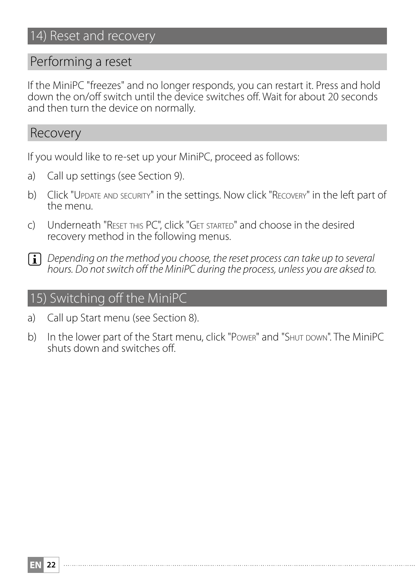### Performing a reset

If the MiniPC "freezes" and no longer responds, you can restart it. Press and hold down the on/off switch until the device switches off. Wait for about 20 seconds and then turn the device on normally.

#### Recovery

If you would like to re-set up your MiniPC, proceed as follows:

- a) Call up settings (see Section 9).
- b) Click "Update and security" in the settings. Now click "Recovery" in the left part of the menu.
- c) Underneath "Reset this PC", click "Get started" and choose in the desired recovery method in the following menus.
- i *Depending on the method you choose, the reset process can take up to several hours. Do not switch off the MiniPC during the process, unless you are aksed to.*

### 15) Switching off the MiniPC

- a) Call up Start menu (see Section 8).
- b) In the lower part of the Start menu, click "Power" and "SHUT DOWN". The MiniPC shuts down and switches off.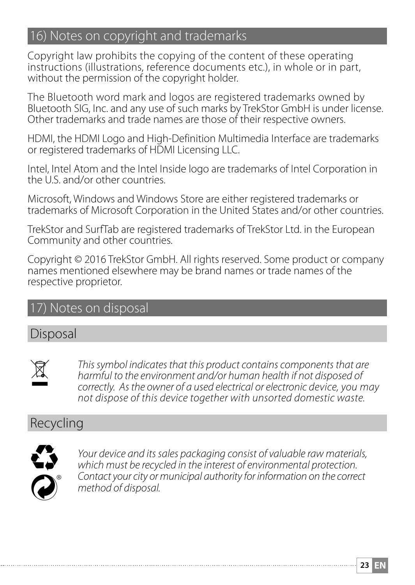# 16) Notes on copyright and trademarks

Copyright law prohibits the copying of the content of these operating instructions (illustrations, reference documents etc.), in whole or in part, without the permission of the copyright holder.

The Bluetooth word mark and logos are registered trademarks owned by Bluetooth SIG, Inc. and any use of such marks by TrekStor GmbH is under license. Other trademarks and trade names are those of their respective owners.

HDMI, the HDMI Logo and High-Definition Multimedia Interface are trademarks or registered trademarks of HDMI Licensing LLC.

Intel, Intel Atom and the Intel Inside logo are trademarks of Intel Corporation in the U.S. and/or other countries.

Microsoft, Windows and Windows Store are either registered trademarks or trademarks of Microsoft Corporation in the United States and/or other countries.

TrekStor and SurfTab are registered trademarks of TrekStor Ltd. in the European Community and other countries.

Copyright © 2016 TrekStor GmbH. All rights reserved. Some product or company names mentioned elsewhere may be brand names or trade names of the respective proprietor.

### Notes on disposal

### Disposal



This symbol indicates that this product contains components that are<br> *harmful to the environment and/or human health if not disposed of***<br>** *accordinate in the environment and descriped of animal health in the original sum correctly. As the owner of a used electrical or electronic device, you may not dispose of this device together with unsorted domestic waste.*

# Recycling



Your device and its sales packaging consist of valuable raw materials, *which must be recycled in the interest of environmental protection. Contact your city or municipal authority for information on the correct* s *method of disposal.*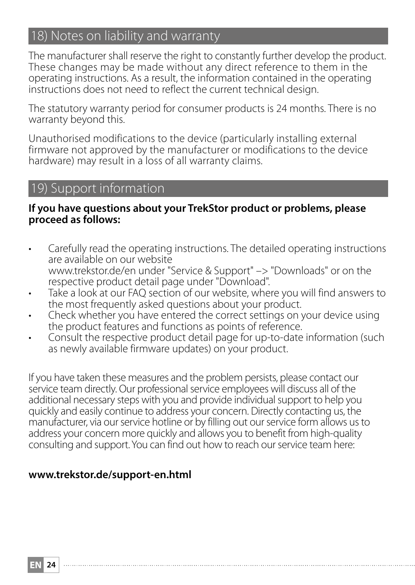# 18) Notes on liability and warranty

The manufacturer shall reserve the right to constantly further develop the product. These changes may be made without any direct reference to them in the operating instructions. As a result, the information contained in the operating instructions does not need to reflect the current technical design.

The statutory warranty period for consumer products is 24 months. There is no warranty beyond this.

Unauthorised modifications to the device (particularly installing external firmware not approved by the manufacturer or modifications to the device hardware) may result in a loss of all warranty claims.

### 19) Support information

#### **If you have questions about your TrekStor product or problems, please proceed as follows:**

- Carefully read the operating instructions. The detailed operating instructions are available on our website www.trekstor.de/en under "Service & Support" –> "Downloads" or on the respective product detail page under "Download".
- Take a look at our FAO section of our website, where you will find answers to the most frequently asked questions about your product.
- Check whether you have entered the correct settings on your device using the product features and functions as points of reference.
- Consult the respective product detail page for up-to-date information (such as newly available firmware updates) on your product.

If you have taken these measures and the problem persists, please contact our service team directly. Our professional service employees will discuss all of the additional necessary steps with you and provide individual support to help you quickly and easily continue to address your concern. Directly contacting us, the manufacturer, via our service hotline or by filling out our service form allows us to address your concern more quickly and allows you to benefit from high-quality consulting and support. You can find out how to reach our service team here:

#### **www.trekstor.de/support-en.html**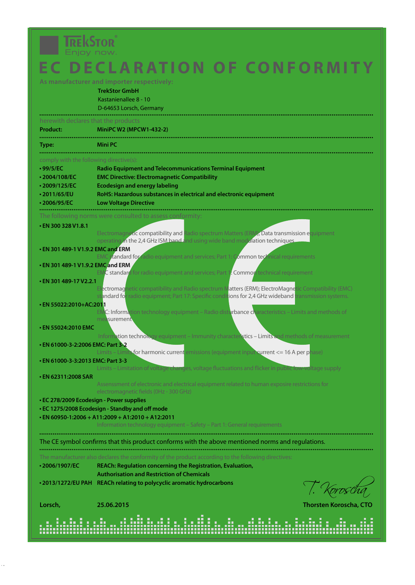# **TREKSTOR**

# **EC DECLARATION OF CONFORMITY**

**TrekStor GmbH** Kastanienallee 8 - 10 D-64653 Lorsch, Germany

| herewith declares that the products |                                                                   |  |  |  |  |
|-------------------------------------|-------------------------------------------------------------------|--|--|--|--|
| Product:                            | MiniPC W2 (MPCW1-432-2)                                           |  |  |  |  |
| Type:                               | Mini PC                                                           |  |  |  |  |
|                                     | comply with the following directive(s):                           |  |  |  |  |
| •99/5/EC                            | <b>Radio Equipment and Telecommunications Terminal Equipment</b>  |  |  |  |  |
| 2004/108/EC                         | <b>EMC Directive: Electromagnetic Compatibility</b>               |  |  |  |  |
| -2009/125/EC                        | <b>Ecodesian and energy labeling</b>                              |  |  |  |  |
| -2011/65/EU                         | RoHS: Hazardous substances in electrical and electronic equipment |  |  |  |  |
| 2006/95/EC                          | <b>Low Voltage Directive</b>                                      |  |  |  |  |